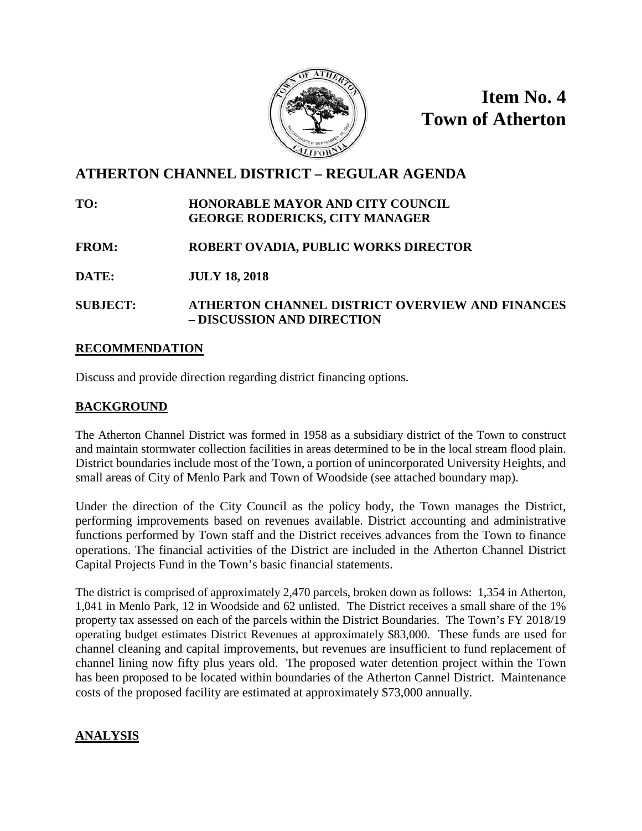

**Item No. 4 Town of Atherton**

# **ATHERTON CHANNEL DISTRICT – REGULAR AGENDA**

#### **TO: HONORABLE MAYOR AND CITY COUNCIL GEORGE RODERICKS, CITY MANAGER**

# **FROM: ROBERT OVADIA, PUBLIC WORKS DIRECTOR**

**DATE: JULY 18, 2018**

#### **SUBJECT: ATHERTON CHANNEL DISTRICT OVERVIEW AND FINANCES – DISCUSSION AND DIRECTION**

#### **RECOMMENDATION**

Discuss and provide direction regarding district financing options.

# **BACKGROUND**

The Atherton Channel District was formed in 1958 as a subsidiary district of the Town to construct and maintain stormwater collection facilities in areas determined to be in the local stream flood plain. District boundaries include most of the Town, a portion of unincorporated University Heights, and small areas of City of Menlo Park and Town of Woodside (see attached boundary map).

Under the direction of the City Council as the policy body, the Town manages the District, performing improvements based on revenues available. District accounting and administrative functions performed by Town staff and the District receives advances from the Town to finance operations. The financial activities of the District are included in the Atherton Channel District Capital Projects Fund in the Town's basic financial statements.

The district is comprised of approximately 2,470 parcels, broken down as follows: 1,354 in Atherton, 1,041 in Menlo Park, 12 in Woodside and 62 unlisted. The District receives a small share of the 1% property tax assessed on each of the parcels within the District Boundaries. The Town's FY 2018/19 operating budget estimates District Revenues at approximately \$83,000. These funds are used for channel cleaning and capital improvements, but revenues are insufficient to fund replacement of channel lining now fifty plus years old. The proposed water detention project within the Town has been proposed to be located within boundaries of the Atherton Cannel District. Maintenance costs of the proposed facility are estimated at approximately \$73,000 annually.

# **ANALYSIS**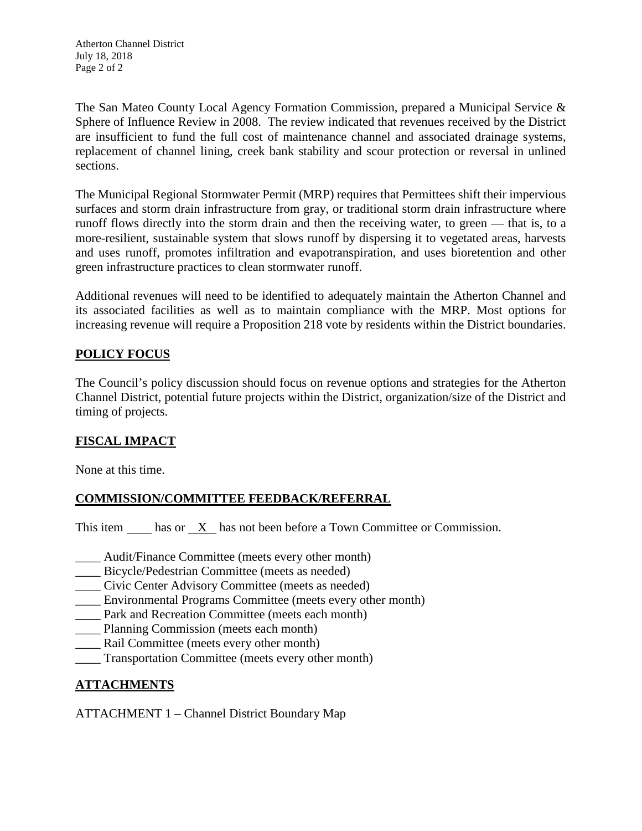Atherton Channel District July 18, 2018 Page 2 of 2

The San Mateo County Local Agency Formation Commission, prepared a Municipal Service & Sphere of Influence Review in 2008. The review indicated that revenues received by the District are insufficient to fund the full cost of maintenance channel and associated drainage systems, replacement of channel lining, creek bank stability and scour protection or reversal in unlined sections.

The Municipal Regional Stormwater Permit (MRP) requires that Permittees shift their impervious surfaces and storm drain infrastructure from gray, or traditional storm drain infrastructure where runoff flows directly into the storm drain and then the receiving water, to green — that is, to a more-resilient, sustainable system that slows runoff by dispersing it to vegetated areas, harvests and uses runoff, promotes infiltration and evapotranspiration, and uses bioretention and other green infrastructure practices to clean stormwater runoff.

Additional revenues will need to be identified to adequately maintain the Atherton Channel and its associated facilities as well as to maintain compliance with the MRP. Most options for increasing revenue will require a Proposition 218 vote by residents within the District boundaries.

#### **POLICY FOCUS**

The Council's policy discussion should focus on revenue options and strategies for the Atherton Channel District, potential future projects within the District, organization/size of the District and timing of projects.

# **FISCAL IMPACT**

None at this time.

# **COMMISSION/COMMITTEE FEEDBACK/REFERRAL**

This item has or X has not been before a Town Committee or Commission.

- \_\_\_\_ Audit/Finance Committee (meets every other month)
- Bicycle/Pedestrian Committee (meets as needed)
- \_\_\_\_ Civic Center Advisory Committee (meets as needed)
- \_\_\_\_ Environmental Programs Committee (meets every other month)
- \_\_\_\_ Park and Recreation Committee (meets each month)
- \_\_\_\_ Planning Commission (meets each month)
- Rail Committee (meets every other month)
- \_\_\_\_ Transportation Committee (meets every other month)

# **ATTACHMENTS**

ATTACHMENT 1 – Channel District Boundary Map